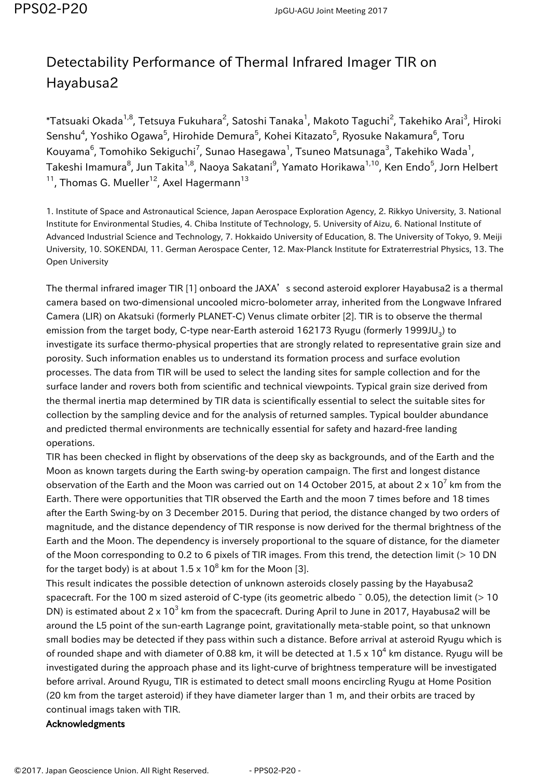## Detectability Performance of Thermal Infrared Imager TIR on Hayabusa2

 $^*$ Tatsuaki Okada $^{1,8}$ , Tetsuya Fukuhara $^2$ , Satoshi Tanaka $^1$ , Makoto Taguchi $^2$ , Takehiko Arai $^3$ , Hiroki Senshu<sup>4</sup>, Yoshiko Ogawa<sup>5</sup>, Hirohide Demura<sup>5</sup>, Kohei Kitazato<sup>5</sup>, Ryosuke Nakamura<sup>6</sup>, Toru Kouyama $^6$ , Tomohiko Sekiguchi $^7$ , Sunao Hasegawa $^1$ , Tsuneo Matsunaga $^3$ , Takehiko Wada $^1$ , Takeshi Imamura<sup>8</sup>, Jun Takita<sup>1,8</sup>, Naoya Sakatani<sup>9</sup>, Yamato Horikawa<sup>1,10</sup>, Ken Endo<sup>5</sup>, Jorn Helbert  $11$ , Thomas G. Mueller<sup>12</sup>, Axel Hagermann<sup>13</sup>

1. Institute of Space and Astronautical Science, Japan Aerospace Exploration Agency, 2. Rikkyo University, 3. National Institute for Environmental Studies, 4. Chiba Institute of Technology, 5. University of Aizu, 6. National Institute of Advanced Industrial Science and Technology, 7. Hokkaido University of Education, 8. The University of Tokyo, 9. Meiji University, 10. SOKENDAI, 11. German Aerospace Center, 12. Max-Planck Institute for Extraterrestrial Physics, 13. The Open University

The thermal infrared imager TIR [1] onboard the JAXA's second asteroid explorer Hayabusa2 is a thermal camera based on two-dimensional uncooled micro-bolometer array, inherited from the Longwave Infrared Camera (LIR) on Akatsuki (formerly PLANET-C) Venus climate orbiter [2]. TIR is to observe the thermal emission from the target body, C-type near-Earth asteroid 162173 Ryugu (formerly 1999JU $_{\text{3}}$ ) to investigate its surface thermo-physical properties that are strongly related to representative grain size and porosity. Such information enables us to understand its formation process and surface evolution processes. The data from TIR will be used to select the landing sites for sample collection and for the surface lander and rovers both from scientific and technical viewpoints. Typical grain size derived from the thermal inertia map determined by TIR data is scientifically essential to select the suitable sites for collection by the sampling device and for the analysis of returned samples. Typical boulder abundance and predicted thermal environments are technically essential for safety and hazard-free landing operations.

TIR has been checked in flight by observations of the deep sky as backgrounds, and of the Earth and the Moon as known targets during the Earth swing-by operation campaign. The first and longest distance observation of the Earth and the Moon was carried out on 14 October 2015, at about 2 x 10 $^7$  km from the Earth. There were opportunities that TIR observed the Earth and the moon 7 times before and 18 times after the Earth Swing-by on 3 December 2015. During that period, the distance changed by two orders of magnitude, and the distance dependency of TIR response is now derived for the thermal brightness of the Earth and the Moon. The dependency is inversely proportional to the square of distance, for the diameter of the Moon corresponding to 0.2 to 6 pixels of TIR images. From this trend, the detection limit (> 10 DN for the target body) is at about 1.5 x 10 $^8$  km for the Moon [3].

This result indicates the possible detection of unknown asteroids closely passing by the Hayabusa2 spacecraft. For the 100 m sized asteroid of C-type (its geometric albedo  $\degree$  0.05), the detection limit (> 10 DN) is estimated about 2 x 10<sup>3</sup> km from the spacecraft. During April to June in 2017, Hayabusa2 will be around the L5 point of the sun-earth Lagrange point, gravitationally meta-stable point, so that unknown small bodies may be detected if they pass within such a distance. Before arrival at asteroid Ryugu which is of rounded shape and with diameter of 0.88 km, it will be detected at 1.5 x 10<sup>4</sup> km distance. Ryugu will be investigated during the approach phase and its light-curve of brightness temperature will be investigated before arrival. Around Ryugu, TIR is estimated to detect small moons encircling Ryugu at Home Position (20 km from the target asteroid) if they have diameter larger than 1 m, and their orbits are traced by continual imags taken with TIR.

## Acknowledgments